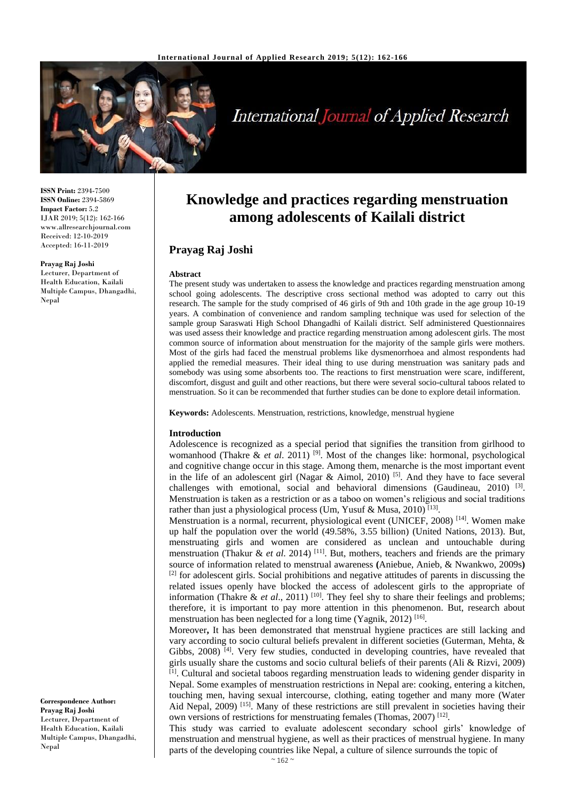

# **International Journal of Applied Research**

**ISSN Print:** 2394-7500 **ISSN Online:** 2394-5869 **Impact Factor:** 5.2 IJAR 2019; 5(12): 162-166 www.allresearchjournal.com Received: 12-10-2019 Accepted: 16-11-2019

**Prayag Raj Joshi**

Lecturer, Department of Health Education, Kailali Multiple Campus, Dhangadhi, Nepal

**Knowledge and practices regarding menstruation among adolescents of Kailali district**

## **Prayag Raj Joshi**

#### **Abstract**

The present study was undertaken to assess the knowledge and practices regarding menstruation among school going adolescents. The descriptive cross sectional method was adopted to carry out this research. The sample for the study comprised of 46 girls of 9th and 10th grade in the age group 10-19 years. A combination of convenience and random sampling technique was used for selection of the sample group Saraswati High School Dhangadhi of Kailali district. Self administered Questionnaires was used assess their knowledge and practice regarding menstruation among adolescent girls. The most common source of information about menstruation for the majority of the sample girls were mothers. Most of the girls had faced the menstrual problems like dysmenorrhoea and almost respondents had applied the remedial measures. Their ideal thing to use during menstruation was sanitary pads and somebody was using some absorbents too. The reactions to first menstruation were scare, indifferent, discomfort, disgust and guilt and other reactions, but there were several socio-cultural taboos related to menstruation. So it can be recommended that further studies can be done to explore detail information.

**Keywords:** Adolescents. Menstruation, restrictions, knowledge, menstrual hygiene

#### **Introduction**

Adolescence is recognized as a special period that signifies the transition from girlhood to womanhood (Thakre & *et al.* 2011)<sup>[9]</sup>. Most of the changes like: hormonal, psychological and cognitive change occur in this stage. Among them, menarche is the most important event in the life of an adolescent girl (Nagar & Aimol, 2010)  $^{[5]}$ . And they have to face several challenges with emotional, social and behavioral dimensions (Gaudineau, 2010)<sup>[3]</sup>. Menstruation is taken as a restriction or as a taboo on women's religious and social traditions rather than just a physiological process (Um, Yusuf & Musa, 2010)<sup>[13]</sup>.

Menstruation is a normal, recurrent, physiological event (UNICEF, 2008) [14]. Women make up half the population over the world (49.58%, 3.55 billion) (United Nations, 2013). But, menstruating girls and women are considered as unclean and untouchable during menstruation (Thakur & *et al*. 2014) [11]. But, mothers, teachers and friends are the primary source of information related to menstrual awareness **(**Aniebue, Anieb, & Nwankwo, 2009s**)** [2] for adolescent girls. Social prohibitions and negative attitudes of parents in discussing the related issues openly have blocked the access of adolescent girls to the appropriate of information (Thakre & *et al.*, 2011)<sup>[10]</sup>. They feel shy to share their feelings and problems; therefore, it is important to pay more attention in this phenomenon. But, research about menstruation has been neglected for a long time (Yagnik, 2012)<sup>[16]</sup>.

Moreover**,** It has been demonstrated that menstrual hygiene practices are still lacking and vary according to socio cultural beliefs prevalent in different societies (Guterman, Mehta, & Gibbs,  $2008$ ) [4]. Very few studies, conducted in developing countries, have revealed that girls usually share the customs and socio cultural beliefs of their parents (Ali & Rizvi, 2009) [1]. Cultural and societal taboos regarding menstruation leads to widening gender disparity in Nepal. Some examples of menstruation restrictions in Nepal are: cooking, entering a kitchen, touching men, having sexual intercourse, clothing, eating together and many more (Water Aid Nepal,  $2009$  [15]. Many of these restrictions are still prevalent in societies having their own versions of restrictions for menstruating females (Thomas, 2007)<sup>[12]</sup>.

This study was carried to evaluate adolescent secondary school girls' knowledge of menstruation and menstrual hygiene, as well as their practices of menstrual hygiene. In many parts of the developing countries like Nepal, a culture of silence surrounds the topic of

**Correspondence Author: Prayag Raj Joshi** Lecturer, Department of Health Education, Kailali Multiple Campus, Dhangadhi, Nepal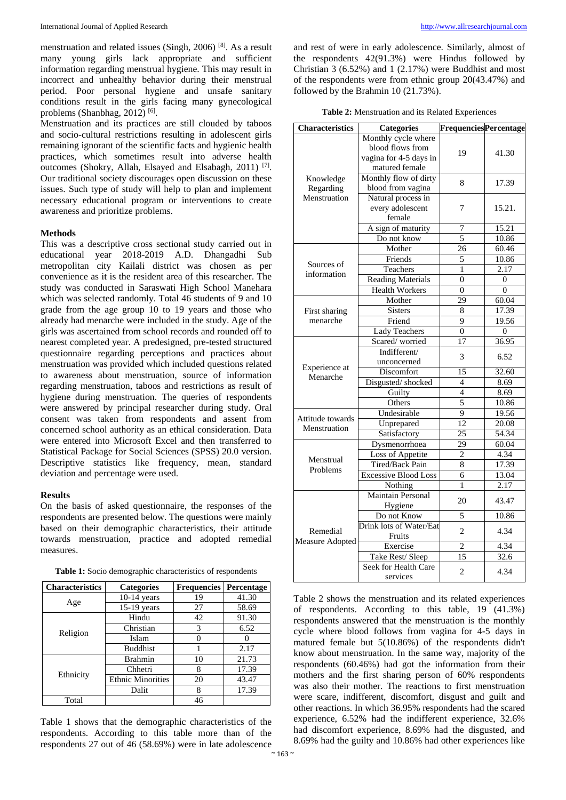menstruation and related issues (Singh, 2006) [8]. As a result many young girls lack appropriate and sufficient information regarding menstrual hygiene. This may result in incorrect and unhealthy behavior during their menstrual period. Poor personal hygiene and unsafe sanitary conditions result in the girls facing many gynecological problems (Shanbhag, 2012)<sup>[6]</sup>.

Menstruation and its practices are still clouded by taboos and socio-cultural restrictions resulting in adolescent girls remaining ignorant of the scientific facts and hygienic health practices, which sometimes result into adverse health outcomes (Shokry, Allah, Elsayed and Elsabagh, 2011)<sup>[7]</sup>. Our traditional society discourages open discussion on these issues. Such type of study will help to plan and implement necessary educational program or interventions to create awareness and prioritize problems.

#### **Methods**

This was a descriptive cross sectional study carried out in educational year 2018-2019 A.D. Dhangadhi Sub metropolitan city Kailali district was chosen as per convenience as it is the resident area of this researcher. The study was conducted in Saraswati High School Manehara which was selected randomly. Total 46 students of 9 and 10 grade from the age group 10 to 19 years and those who already had menarche were included in the study. Age of the girls was ascertained from school records and rounded off to nearest completed year. A predesigned, pre-tested structured questionnaire regarding perceptions and practices about menstruation was provided which included questions related to awareness about menstruation, source of information regarding menstruation, taboos and restrictions as result of hygiene during menstruation. The queries of respondents were answered by principal researcher during study. Oral consent was taken from respondents and assent from concerned school authority as an ethical consideration. Data were entered into Microsoft Excel and then transferred to Statistical Package for Social Sciences (SPSS) 20.0 version. Descriptive statistics like frequency, mean, standard deviation and percentage were used.

#### **Results**

On the basis of asked questionnaire, the responses of the respondents are presented below. The questions were mainly based on their demographic characteristics, their attitude towards menstruation, practice and adopted remedial measures.

|                                                           | "haracteristics Categories Frequencies Percenta |  |  |
|-----------------------------------------------------------|-------------------------------------------------|--|--|
| Table 1: Socio demographic characteristics of respondents |                                                 |  |  |

| <b>Characteristics</b> | <b>Categories</b>        | <b>Frequencies</b> | Percentage |
|------------------------|--------------------------|--------------------|------------|
|                        | $10-14$ years            | 19                 | 41.30      |
| Age                    | $15-19$ years            | 27                 | 58.69      |
|                        | Hindu                    | 42                 | 91.30      |
|                        | Christian                | 3                  | 6.52       |
| Religion               | Islam                    |                    |            |
|                        | <b>Buddhist</b>          |                    | 2.17       |
|                        | <b>Brahmin</b>           | 10                 | 21.73      |
| Ethnicity              | Chhetri                  | 8                  | 17.39      |
|                        | <b>Ethnic Minorities</b> | 20                 | 43.47      |
|                        | Dalit                    | 8                  | 17.39      |
| Total                  |                          | 46                 |            |

Table 1 shows that the demographic characteristics of the respondents. According to this table more than of the respondents 27 out of 46 (58.69%) were in late adolescence

and rest of were in early adolescence. Similarly, almost of the respondents 42(91.3%) were Hindus followed by Christian 3 (6.52%) and 1 (2.17%) were Buddhist and most of the respondents were from ethnic group 20(43.47%) and followed by the Brahmin 10 (21.73%).

| <b>Categories</b>      |                                                                                                                                                                                                                                                                                                                                                                                                                                                                                                                                                                                    |                                                                                                                                                                                                                                                                                                |
|------------------------|------------------------------------------------------------------------------------------------------------------------------------------------------------------------------------------------------------------------------------------------------------------------------------------------------------------------------------------------------------------------------------------------------------------------------------------------------------------------------------------------------------------------------------------------------------------------------------|------------------------------------------------------------------------------------------------------------------------------------------------------------------------------------------------------------------------------------------------------------------------------------------------|
|                        |                                                                                                                                                                                                                                                                                                                                                                                                                                                                                                                                                                                    |                                                                                                                                                                                                                                                                                                |
| blood flows from       |                                                                                                                                                                                                                                                                                                                                                                                                                                                                                                                                                                                    | 41.30                                                                                                                                                                                                                                                                                          |
| vagina for 4-5 days in |                                                                                                                                                                                                                                                                                                                                                                                                                                                                                                                                                                                    |                                                                                                                                                                                                                                                                                                |
| matured female         |                                                                                                                                                                                                                                                                                                                                                                                                                                                                                                                                                                                    |                                                                                                                                                                                                                                                                                                |
|                        |                                                                                                                                                                                                                                                                                                                                                                                                                                                                                                                                                                                    | 17.39                                                                                                                                                                                                                                                                                          |
|                        |                                                                                                                                                                                                                                                                                                                                                                                                                                                                                                                                                                                    |                                                                                                                                                                                                                                                                                                |
|                        |                                                                                                                                                                                                                                                                                                                                                                                                                                                                                                                                                                                    |                                                                                                                                                                                                                                                                                                |
| every adolescent       | 7                                                                                                                                                                                                                                                                                                                                                                                                                                                                                                                                                                                  | 15.21.                                                                                                                                                                                                                                                                                         |
| female                 |                                                                                                                                                                                                                                                                                                                                                                                                                                                                                                                                                                                    |                                                                                                                                                                                                                                                                                                |
| A sign of maturity     | 7                                                                                                                                                                                                                                                                                                                                                                                                                                                                                                                                                                                  | 15.21                                                                                                                                                                                                                                                                                          |
| Do not know            | 5                                                                                                                                                                                                                                                                                                                                                                                                                                                                                                                                                                                  | 10.86                                                                                                                                                                                                                                                                                          |
| Mother                 | 26                                                                                                                                                                                                                                                                                                                                                                                                                                                                                                                                                                                 | 60.46                                                                                                                                                                                                                                                                                          |
| Friends                | 5                                                                                                                                                                                                                                                                                                                                                                                                                                                                                                                                                                                  | 10.86                                                                                                                                                                                                                                                                                          |
| Teachers               | 1                                                                                                                                                                                                                                                                                                                                                                                                                                                                                                                                                                                  | 2.17                                                                                                                                                                                                                                                                                           |
|                        | $\overline{0}$                                                                                                                                                                                                                                                                                                                                                                                                                                                                                                                                                                     | $\overline{0}$                                                                                                                                                                                                                                                                                 |
|                        | $\overline{0}$                                                                                                                                                                                                                                                                                                                                                                                                                                                                                                                                                                     | 0                                                                                                                                                                                                                                                                                              |
|                        | 29                                                                                                                                                                                                                                                                                                                                                                                                                                                                                                                                                                                 | 60.04                                                                                                                                                                                                                                                                                          |
|                        | 8                                                                                                                                                                                                                                                                                                                                                                                                                                                                                                                                                                                  | 17.39                                                                                                                                                                                                                                                                                          |
|                        |                                                                                                                                                                                                                                                                                                                                                                                                                                                                                                                                                                                    | 19.56                                                                                                                                                                                                                                                                                          |
|                        |                                                                                                                                                                                                                                                                                                                                                                                                                                                                                                                                                                                    | $\theta$                                                                                                                                                                                                                                                                                       |
|                        |                                                                                                                                                                                                                                                                                                                                                                                                                                                                                                                                                                                    | 36.95                                                                                                                                                                                                                                                                                          |
|                        | 3                                                                                                                                                                                                                                                                                                                                                                                                                                                                                                                                                                                  | 6.52                                                                                                                                                                                                                                                                                           |
|                        |                                                                                                                                                                                                                                                                                                                                                                                                                                                                                                                                                                                    |                                                                                                                                                                                                                                                                                                |
|                        |                                                                                                                                                                                                                                                                                                                                                                                                                                                                                                                                                                                    | 32.60                                                                                                                                                                                                                                                                                          |
|                        |                                                                                                                                                                                                                                                                                                                                                                                                                                                                                                                                                                                    | 8.69                                                                                                                                                                                                                                                                                           |
|                        |                                                                                                                                                                                                                                                                                                                                                                                                                                                                                                                                                                                    | 8.69                                                                                                                                                                                                                                                                                           |
|                        |                                                                                                                                                                                                                                                                                                                                                                                                                                                                                                                                                                                    | 10.86                                                                                                                                                                                                                                                                                          |
|                        |                                                                                                                                                                                                                                                                                                                                                                                                                                                                                                                                                                                    | 19.56                                                                                                                                                                                                                                                                                          |
|                        |                                                                                                                                                                                                                                                                                                                                                                                                                                                                                                                                                                                    | 20.08                                                                                                                                                                                                                                                                                          |
|                        |                                                                                                                                                                                                                                                                                                                                                                                                                                                                                                                                                                                    | 54.34                                                                                                                                                                                                                                                                                          |
|                        |                                                                                                                                                                                                                                                                                                                                                                                                                                                                                                                                                                                    | 60.04                                                                                                                                                                                                                                                                                          |
|                        |                                                                                                                                                                                                                                                                                                                                                                                                                                                                                                                                                                                    | 4.34                                                                                                                                                                                                                                                                                           |
|                        |                                                                                                                                                                                                                                                                                                                                                                                                                                                                                                                                                                                    | 17.39                                                                                                                                                                                                                                                                                          |
|                        |                                                                                                                                                                                                                                                                                                                                                                                                                                                                                                                                                                                    |                                                                                                                                                                                                                                                                                                |
|                        |                                                                                                                                                                                                                                                                                                                                                                                                                                                                                                                                                                                    | 13.04                                                                                                                                                                                                                                                                                          |
|                        |                                                                                                                                                                                                                                                                                                                                                                                                                                                                                                                                                                                    | 2.17                                                                                                                                                                                                                                                                                           |
|                        | 20                                                                                                                                                                                                                                                                                                                                                                                                                                                                                                                                                                                 | 43.47                                                                                                                                                                                                                                                                                          |
|                        |                                                                                                                                                                                                                                                                                                                                                                                                                                                                                                                                                                                    |                                                                                                                                                                                                                                                                                                |
|                        |                                                                                                                                                                                                                                                                                                                                                                                                                                                                                                                                                                                    | 10.86                                                                                                                                                                                                                                                                                          |
|                        | $\overline{2}$                                                                                                                                                                                                                                                                                                                                                                                                                                                                                                                                                                     | 4.34                                                                                                                                                                                                                                                                                           |
|                        |                                                                                                                                                                                                                                                                                                                                                                                                                                                                                                                                                                                    |                                                                                                                                                                                                                                                                                                |
|                        |                                                                                                                                                                                                                                                                                                                                                                                                                                                                                                                                                                                    | 4.34                                                                                                                                                                                                                                                                                           |
|                        |                                                                                                                                                                                                                                                                                                                                                                                                                                                                                                                                                                                    | 32.6                                                                                                                                                                                                                                                                                           |
| services               | $\overline{c}$                                                                                                                                                                                                                                                                                                                                                                                                                                                                                                                                                                     | 4.34                                                                                                                                                                                                                                                                                           |
|                        | Monthly cycle where<br>Monthly flow of dirty<br>blood from vagina<br>Natural process in<br><b>Reading Materials</b><br><b>Health Workers</b><br>Mother<br><b>Sisters</b><br>Friend<br>Lady Teachers<br>Scared/worried<br>Indifferent/<br>unconcerned<br>Discomfort<br>Disgusted/shocked<br>Guilty<br>Others<br>Undesirable<br>Unprepared<br>Satisfactory<br>Dysmenorrhoea<br><b>Loss of Appetite</b><br>Tired/Back Pain<br><b>Excessive Blood Loss</b><br>Nothing<br>Maintain Personal<br>Hygiene<br>Do not Know<br>Fruits<br>Exercise<br>Take Rest/ Sleep<br>Seek for Health Care | <b>FrequenciesPercentage</b><br>19<br>8<br>9<br>$\overline{0}$<br>17<br>15<br>$\overline{4}$<br>$\overline{4}$<br>$\overline{5}$<br>$\overline{9}$<br>$\overline{12}$<br>$\overline{25}$<br>29<br>$\overline{c}$<br>8<br>6<br>1<br>5<br><b>Drink lots of Water/Eat</b><br>$\overline{2}$<br>15 |

Table 2 shows the menstruation and its related experiences of respondents. According to this table, 19 (41.3%) respondents answered that the menstruation is the monthly cycle where blood follows from vagina for 4-5 days in matured female but 5(10.86%) of the respondents didn't know about menstruation. In the same way, majority of the respondents (60.46%) had got the information from their mothers and the first sharing person of 60% respondents was also their mother. The reactions to first menstruation were scare, indifferent, discomfort, disgust and guilt and other reactions. In which 36.95% respondents had the scared experience, 6.52% had the indifferent experience, 32.6% had discomfort experience, 8.69% had the disgusted, and 8.69% had the guilty and 10.86% had other experiences like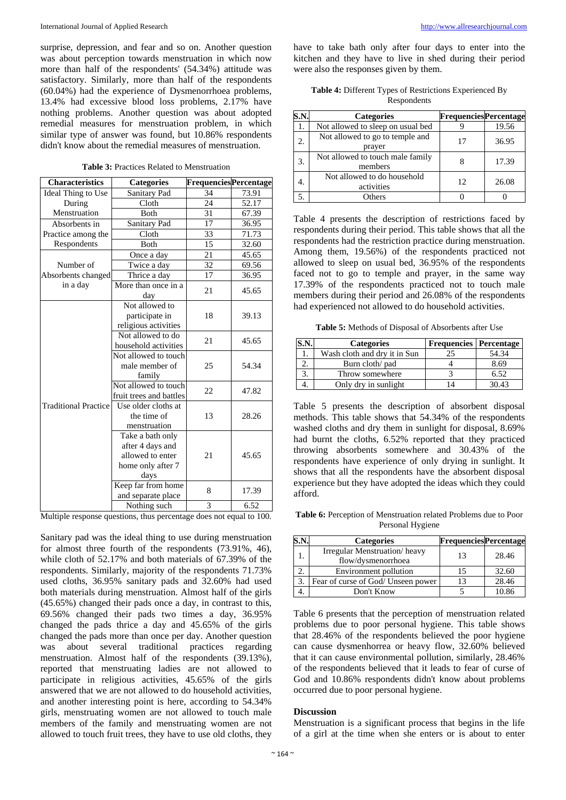surprise, depression, and fear and so on. Another question was about perception towards menstruation in which now more than half of the respondents' (54.34%) attitude was satisfactory. Similarly, more than half of the respondents (60.04%) had the experience of Dysmenorrhoea problems, 13.4% had excessive blood loss problems, 2.17% have nothing problems. Another question was about adopted remedial measures for menstruation problem, in which similar type of answer was found, but 10.86% respondents didn't know about the remedial measures of menstruation.

|  | <b>Table 3: Practices Related to Menstruation</b> |
|--|---------------------------------------------------|
|--|---------------------------------------------------|

| Sanitary Pad<br>34<br>73.91<br>Ideal Thing to Use<br>Cloth<br>24<br>52.17<br>During<br>Menstruation<br><b>Both</b><br>31<br>67.39<br>17<br>Sanitary Pad<br>36.95<br>Absorbents in<br>Cloth<br>33<br>71.73<br>Practice among the<br>15<br>Both<br>32.60<br>Respondents<br>21<br>45.65<br>Once a day<br>32<br>69.56<br>Twice a day<br>Number of<br>Absorbents changed<br>17<br>Thrice a day<br>36.95<br>in a day<br>More than once in a<br>21<br>45.65<br>day<br>Not allowed to<br>participate in<br>18<br>39.13<br>religious activities<br>Not allowed to do<br>21<br>45.65<br>household activities<br>Not allowed to touch<br>25<br>54.34<br>male member of<br>family<br>Not allowed to touch<br>22<br>47.82<br>fruit trees and battles<br><b>Traditional Practice</b><br>Use older cloths at<br>the time of<br>13<br>28.26<br>menstruation<br>Take a bath only<br>after 4 days and<br>allowed to enter<br>21<br>45.65<br>home only after 7<br>days<br>Keep far from home<br>8<br>17.39<br>and separate place<br>3<br>6.52<br>Nothing such | <b>Characteristics</b> | <b>Categories</b> | <b>FrequenciesPercentage</b> |  |
|--------------------------------------------------------------------------------------------------------------------------------------------------------------------------------------------------------------------------------------------------------------------------------------------------------------------------------------------------------------------------------------------------------------------------------------------------------------------------------------------------------------------------------------------------------------------------------------------------------------------------------------------------------------------------------------------------------------------------------------------------------------------------------------------------------------------------------------------------------------------------------------------------------------------------------------------------------------------------------------------------------------------------------------------|------------------------|-------------------|------------------------------|--|
|                                                                                                                                                                                                                                                                                                                                                                                                                                                                                                                                                                                                                                                                                                                                                                                                                                                                                                                                                                                                                                            |                        |                   |                              |  |
|                                                                                                                                                                                                                                                                                                                                                                                                                                                                                                                                                                                                                                                                                                                                                                                                                                                                                                                                                                                                                                            |                        |                   |                              |  |
|                                                                                                                                                                                                                                                                                                                                                                                                                                                                                                                                                                                                                                                                                                                                                                                                                                                                                                                                                                                                                                            |                        |                   |                              |  |
|                                                                                                                                                                                                                                                                                                                                                                                                                                                                                                                                                                                                                                                                                                                                                                                                                                                                                                                                                                                                                                            |                        |                   |                              |  |
|                                                                                                                                                                                                                                                                                                                                                                                                                                                                                                                                                                                                                                                                                                                                                                                                                                                                                                                                                                                                                                            |                        |                   |                              |  |
|                                                                                                                                                                                                                                                                                                                                                                                                                                                                                                                                                                                                                                                                                                                                                                                                                                                                                                                                                                                                                                            |                        |                   |                              |  |
|                                                                                                                                                                                                                                                                                                                                                                                                                                                                                                                                                                                                                                                                                                                                                                                                                                                                                                                                                                                                                                            |                        |                   |                              |  |
|                                                                                                                                                                                                                                                                                                                                                                                                                                                                                                                                                                                                                                                                                                                                                                                                                                                                                                                                                                                                                                            |                        |                   |                              |  |
|                                                                                                                                                                                                                                                                                                                                                                                                                                                                                                                                                                                                                                                                                                                                                                                                                                                                                                                                                                                                                                            |                        |                   |                              |  |
|                                                                                                                                                                                                                                                                                                                                                                                                                                                                                                                                                                                                                                                                                                                                                                                                                                                                                                                                                                                                                                            |                        |                   |                              |  |
|                                                                                                                                                                                                                                                                                                                                                                                                                                                                                                                                                                                                                                                                                                                                                                                                                                                                                                                                                                                                                                            |                        |                   |                              |  |
|                                                                                                                                                                                                                                                                                                                                                                                                                                                                                                                                                                                                                                                                                                                                                                                                                                                                                                                                                                                                                                            |                        |                   |                              |  |
|                                                                                                                                                                                                                                                                                                                                                                                                                                                                                                                                                                                                                                                                                                                                                                                                                                                                                                                                                                                                                                            |                        |                   |                              |  |
|                                                                                                                                                                                                                                                                                                                                                                                                                                                                                                                                                                                                                                                                                                                                                                                                                                                                                                                                                                                                                                            |                        |                   |                              |  |
|                                                                                                                                                                                                                                                                                                                                                                                                                                                                                                                                                                                                                                                                                                                                                                                                                                                                                                                                                                                                                                            |                        |                   |                              |  |
|                                                                                                                                                                                                                                                                                                                                                                                                                                                                                                                                                                                                                                                                                                                                                                                                                                                                                                                                                                                                                                            |                        |                   |                              |  |
|                                                                                                                                                                                                                                                                                                                                                                                                                                                                                                                                                                                                                                                                                                                                                                                                                                                                                                                                                                                                                                            |                        |                   |                              |  |
|                                                                                                                                                                                                                                                                                                                                                                                                                                                                                                                                                                                                                                                                                                                                                                                                                                                                                                                                                                                                                                            |                        |                   |                              |  |
|                                                                                                                                                                                                                                                                                                                                                                                                                                                                                                                                                                                                                                                                                                                                                                                                                                                                                                                                                                                                                                            |                        |                   |                              |  |
|                                                                                                                                                                                                                                                                                                                                                                                                                                                                                                                                                                                                                                                                                                                                                                                                                                                                                                                                                                                                                                            |                        |                   |                              |  |
|                                                                                                                                                                                                                                                                                                                                                                                                                                                                                                                                                                                                                                                                                                                                                                                                                                                                                                                                                                                                                                            |                        |                   |                              |  |
|                                                                                                                                                                                                                                                                                                                                                                                                                                                                                                                                                                                                                                                                                                                                                                                                                                                                                                                                                                                                                                            |                        |                   |                              |  |
|                                                                                                                                                                                                                                                                                                                                                                                                                                                                                                                                                                                                                                                                                                                                                                                                                                                                                                                                                                                                                                            |                        |                   |                              |  |
|                                                                                                                                                                                                                                                                                                                                                                                                                                                                                                                                                                                                                                                                                                                                                                                                                                                                                                                                                                                                                                            |                        |                   |                              |  |
|                                                                                                                                                                                                                                                                                                                                                                                                                                                                                                                                                                                                                                                                                                                                                                                                                                                                                                                                                                                                                                            |                        |                   |                              |  |
|                                                                                                                                                                                                                                                                                                                                                                                                                                                                                                                                                                                                                                                                                                                                                                                                                                                                                                                                                                                                                                            |                        |                   |                              |  |
|                                                                                                                                                                                                                                                                                                                                                                                                                                                                                                                                                                                                                                                                                                                                                                                                                                                                                                                                                                                                                                            |                        |                   |                              |  |
|                                                                                                                                                                                                                                                                                                                                                                                                                                                                                                                                                                                                                                                                                                                                                                                                                                                                                                                                                                                                                                            |                        |                   |                              |  |
|                                                                                                                                                                                                                                                                                                                                                                                                                                                                                                                                                                                                                                                                                                                                                                                                                                                                                                                                                                                                                                            |                        |                   |                              |  |
|                                                                                                                                                                                                                                                                                                                                                                                                                                                                                                                                                                                                                                                                                                                                                                                                                                                                                                                                                                                                                                            |                        |                   |                              |  |
|                                                                                                                                                                                                                                                                                                                                                                                                                                                                                                                                                                                                                                                                                                                                                                                                                                                                                                                                                                                                                                            |                        |                   |                              |  |
|                                                                                                                                                                                                                                                                                                                                                                                                                                                                                                                                                                                                                                                                                                                                                                                                                                                                                                                                                                                                                                            |                        |                   |                              |  |

Multiple response questions, thus percentage does not equal to 100*.*

Sanitary pad was the ideal thing to use during menstruation for almost three fourth of the respondents (73.91%, 46), while cloth of 52.17% and both materials of 67.39% of the respondents. Similarly, majority of the respondents 71.73% used cloths, 36.95% sanitary pads and 32.60% had used both materials during menstruation. Almost half of the girls (45.65%) changed their pads once a day, in contrast to this, 69.56% changed their pads two times a day, 36.95% changed the pads thrice a day and 45.65% of the girls changed the pads more than once per day. Another question was about several traditional practices regarding menstruation. Almost half of the respondents (39.13%), reported that menstruating ladies are not allowed to participate in religious activities, 45.65% of the girls answered that we are not allowed to do household activities, and another interesting point is here, according to 54.34% girls, menstruating women are not allowed to touch male members of the family and menstruating women are not allowed to touch fruit trees, they have to use old cloths, they

have to take bath only after four days to enter into the kitchen and they have to live in shed during their period were also the responses given by them.

**Table 4:** Different Types of Restrictions Experienced By Respondents

| S.N | <b>Categories</b>                           | <b>FrequenciesPercentage</b> |       |
|-----|---------------------------------------------|------------------------------|-------|
|     | Not allowed to sleep on usual bed           |                              | 19.56 |
| 2.  | Not allowed to go to temple and<br>prayer   | 17                           | 36.95 |
| 3.  | Not allowed to touch male family<br>members |                              | 17.39 |
|     | Not allowed to do household<br>activities   | 12                           | 26.08 |
|     | Others                                      |                              |       |

Table 4 presents the description of restrictions faced by respondents during their period. This table shows that all the respondents had the restriction practice during menstruation. Among them, 19.56%) of the respondents practiced not allowed to sleep on usual bed, 36.95% of the respondents faced not to go to temple and prayer, in the same way 17.39% of the respondents practiced not to touch male members during their period and 26.08% of the respondents had experienced not allowed to do household activities.

**Table 5:** Methods of Disposal of Absorbents after Use

| <b>Categories</b>            | <b>Frequencies</b> Percentage |       |
|------------------------------|-------------------------------|-------|
| Wash cloth and dry it in Sun |                               | 54.34 |
| Burn cloth/ pad              |                               | 8.69  |
| Throw somewhere              |                               | 6.52  |
| Only dry in sunlight         |                               | 30.43 |

Table 5 presents the description of absorbent disposal methods. This table shows that 54.34% of the respondents washed cloths and dry them in sunlight for disposal, 8.69% had burnt the cloths, 6.52% reported that they practiced throwing absorbents somewhere and 30.43% of the respondents have experience of only drying in sunlight. It shows that all the respondents have the absorbent disposal experience but they have adopted the ideas which they could afford.

**Table 6:** Perception of Menstruation related Problems due to Poor Personal Hygiene

|    | <b>Categories</b>                                  | <b>FrequenciesPercentage</b> |       |
|----|----------------------------------------------------|------------------------------|-------|
|    | Irregular Menstruation/heavy<br>flow/dysmenorrhoea | 13                           | 28.46 |
|    | Environment pollution                              | 15                           | 32.60 |
| 3. | Fear of curse of God/ Unseen power                 | 13                           | 28.46 |
|    | Don't Know                                         |                              | 10.86 |

Table 6 presents that the perception of menstruation related problems due to poor personal hygiene. This table shows that 28.46% of the respondents believed the poor hygiene can cause dysmenhorrea or heavy flow, 32.60% believed that it can cause environmental pollution, similarly, 28.46% of the respondents believed that it leads to fear of curse of God and 10.86% respondents didn't know about problems occurred due to poor personal hygiene.

### **Discussion**

Menstruation is a significant process that begins in the life of a girl at the time when she enters or is about to enter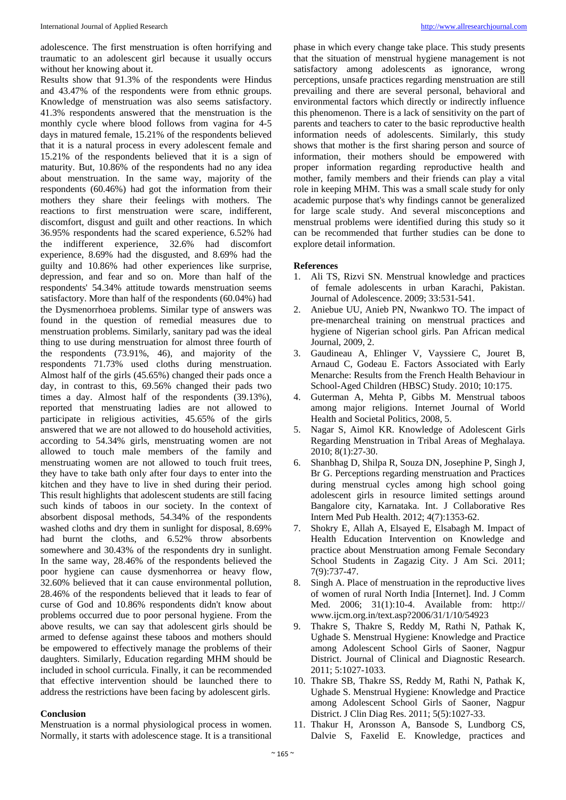adolescence. The first menstruation is often horrifying and traumatic to an adolescent girl because it usually occurs without her knowing about it.

Results show that 91.3% of the respondents were Hindus and 43.47% of the respondents were from ethnic groups. Knowledge of menstruation was also seems satisfactory. 41.3% respondents answered that the menstruation is the monthly cycle where blood follows from vagina for 4-5 days in matured female, 15.21% of the respondents believed that it is a natural process in every adolescent female and 15.21% of the respondents believed that it is a sign of maturity. But, 10.86% of the respondents had no any idea about menstruation. In the same way, majority of the respondents (60.46%) had got the information from their mothers they share their feelings with mothers. The reactions to first menstruation were scare, indifferent, discomfort, disgust and guilt and other reactions. In which 36.95% respondents had the scared experience, 6.52% had the indifferent experience, 32.6% had discomfort experience, 8.69% had the disgusted, and 8.69% had the guilty and 10.86% had other experiences like surprise, depression, and fear and so on. More than half of the respondents' 54.34% attitude towards menstruation seems satisfactory. More than half of the respondents (60.04%) had the Dysmenorrhoea problems. Similar type of answers was found in the question of remedial measures due to menstruation problems. Similarly, sanitary pad was the ideal thing to use during menstruation for almost three fourth of the respondents (73.91%, 46), and majority of the respondents 71.73% used cloths during menstruation. Almost half of the girls (45.65%) changed their pads once a day, in contrast to this, 69.56% changed their pads two times a day. Almost half of the respondents (39.13%), reported that menstruating ladies are not allowed to participate in religious activities, 45.65% of the girls answered that we are not allowed to do household activities, according to 54.34% girls, menstruating women are not allowed to touch male members of the family and menstruating women are not allowed to touch fruit trees, they have to take bath only after four days to enter into the kitchen and they have to live in shed during their period. This result highlights that adolescent students are still facing such kinds of taboos in our society. In the context of absorbent disposal methods, 54.34% of the respondents washed cloths and dry them in sunlight for disposal, 8.69% had burnt the cloths, and 6.52% throw absorbents somewhere and 30.43% of the respondents dry in sunlight. In the same way, 28.46% of the respondents believed the poor hygiene can cause dysmenhorrea or heavy flow, 32.60% believed that it can cause environmental pollution, 28.46% of the respondents believed that it leads to fear of curse of God and 10.86% respondents didn't know about problems occurred due to poor personal hygiene. From the above results, we can say that adolescent girls should be armed to defense against these taboos and mothers should be empowered to effectively manage the problems of their daughters. Similarly, Education regarding MHM should be included in school curricula. Finally, it can be recommended that effective intervention should be launched there to address the restrictions have been facing by adolescent girls.

#### **Conclusion**

Menstruation is a normal physiological process in women. Normally, it starts with adolescence stage. It is a transitional phase in which every change take place. This study presents that the situation of menstrual hygiene management is not satisfactory among adolescents as ignorance, wrong perceptions, unsafe practices regarding menstruation are still prevailing and there are several personal, behavioral and environmental factors which directly or indirectly influence this phenomenon. There is a lack of sensitivity on the part of parents and teachers to cater to the basic reproductive health information needs of adolescents. Similarly, this study shows that mother is the first sharing person and source of information, their mothers should be empowered with proper information regarding reproductive health and mother, family members and their friends can play a vital role in keeping MHM. This was a small scale study for only academic purpose that's why findings cannot be generalized for large scale study. And several misconceptions and menstrual problems were identified during this study so it can be recommended that further studies can be done to explore detail information.

#### **References**

- 1. Ali TS, Rizvi SN. Menstrual knowledge and practices of female adolescents in urban Karachi, Pakistan. Journal of Adolescence. 2009; 33:531-541.
- 2. Aniebue UU, Anieb PN, Nwankwo TO. The impact of pre-menarcheal training on menstrual practices and hygiene of Nigerian school girls. Pan African medical Journal, 2009, 2.
- 3. Gaudineau A, Ehlinger V, Vayssiere C, Jouret B, Arnaud C, Godeau E. Factors Associated with Early Menarche: Results from the French Health Behaviour in School-Aged Children (HBSC) Study. 2010; 10:175.
- 4. Guterman A, Mehta P, Gibbs M. Menstrual taboos among major religions. Internet Journal of World Health and Societal Politics, 2008, 5.
- 5. Nagar S, Aimol KR. Knowledge of Adolescent Girls Regarding Menstruation in Tribal Areas of Meghalaya. 2010; 8(1):27-30.
- 6. Shanbhag D, Shilpa R, Souza DN, Josephine P, Singh J, Br G. Perceptions regarding menstruation and Practices during menstrual cycles among high school going adolescent girls in resource limited settings around Bangalore city, Karnataka. Int. J Collaborative Res Intern Med Pub Health. 2012; 4(7):1353-62.
- 7. Shokry E, Allah A, Elsayed E, Elsabagh M. Impact of Health Education Intervention on Knowledge and practice about Menstruation among Female Secondary School Students in Zagazig City. J Am Sci. 2011; 7(9):737-47.
- 8. Singh A. Place of menstruation in the reproductive lives of women of rural North India [Internet]. Ind. J Comm Med. 2006; 31(1):10-4. Available from: http:// www.ijcm.org.in/text.asp?2006/31/1/10/54923
- 9. Thakre S, Thakre S, Reddy M, Rathi N, Pathak K, Ughade S. Menstrual Hygiene: Knowledge and Practice among Adolescent School Girls of Saoner, Nagpur District. Journal of Clinical and Diagnostic Research. 2011; 5:1027-1033.
- 10. Thakre SB, Thakre SS, Reddy M, Rathi N, Pathak K, Ughade S. Menstrual Hygiene: Knowledge and Practice among Adolescent School Girls of Saoner, Nagpur District. J Clin Diag Res. 2011; 5(5):1027-33.
- 11. Thakur H, Aronsson A, Bansode S, Lundborg CS, Dalvie S, Faxelid E. Knowledge, practices and